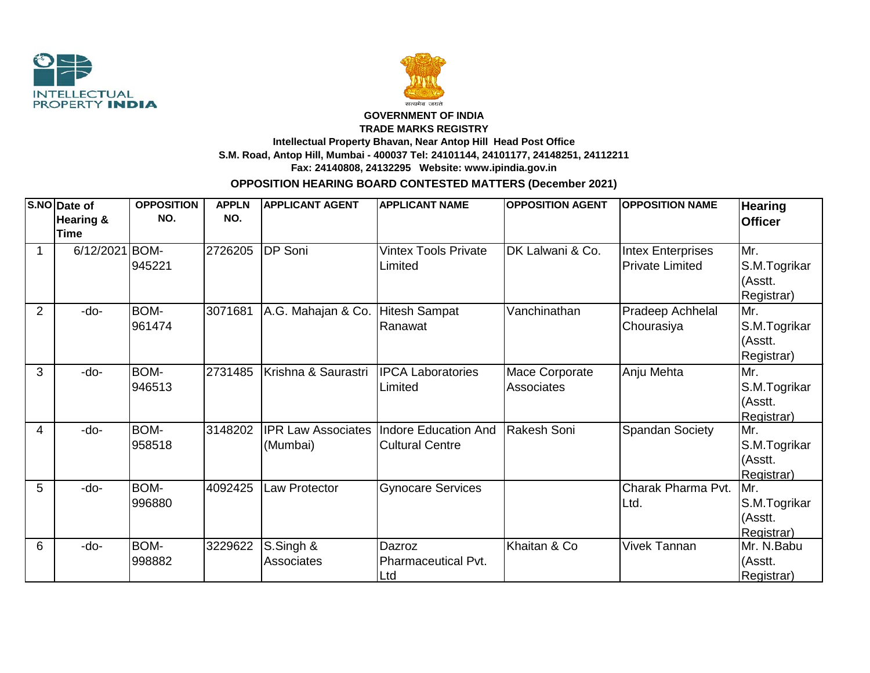



## **GOVERNMENT OF INDIA TRADE MARKS REGISTRY Intellectual Property Bhavan, Near Antop Hill Head Post Office S.M. Road, Antop Hill, Mumbai - 400037 Tel: 24101144, 24101177, 24148251, 24112211**

**Fax: 24140808, 24132295 Website: www.ipindia.gov.in**

## **OPPOSITION HEARING BOARD CONTESTED MATTERS (December 2021)**

|                | S.NO Date of<br>Hearing &<br><b>Time</b> | <b>OPPOSITION</b><br>NO. | <b>APPLN</b><br>NO. | <b>APPLICANT AGENT</b>                | <b>APPLICANT NAME</b>                                 | <b>OPPOSITION AGENT</b>             | <b>OPPOSITION NAME</b>                             | <b>Hearing</b><br><b>Officer</b>             |
|----------------|------------------------------------------|--------------------------|---------------------|---------------------------------------|-------------------------------------------------------|-------------------------------------|----------------------------------------------------|----------------------------------------------|
|                | 6/12/2021 BOM-                           | 945221                   | 2726205             | <b>DP</b> Soni                        | <b>Vintex Tools Private</b><br>Limited                | DK Lalwani & Co.                    | <b>Intex Enterprises</b><br><b>Private Limited</b> | Mr.<br>S.M.Togrikar<br>(Asstt.<br>Registrar) |
| $\overline{2}$ | -do-                                     | BOM-<br>961474           | 3071681             | A.G. Mahajan & Co.                    | <b>Hitesh Sampat</b><br>Ranawat                       | Vanchinathan                        | Pradeep Achhelal<br>Chourasiya                     | Mr.<br>S.M.Togrikar<br>(Asstt.<br>Registrar) |
| 3              | -do-                                     | BOM-<br>946513           | 2731485             | Krishna & Saurastri                   | <b>IPCA Laboratories</b><br>Limited                   | <b>Mace Corporate</b><br>Associates | Anju Mehta                                         | Mr.<br>S.M.Togrikar<br>(Asstt.<br>Registrar) |
| $\overline{4}$ | -do-                                     | BOM-<br>958518           | 3148202             | <b>IPR Law Associates</b><br>(Mumbai) | <b>Indore Education And</b><br><b>Cultural Centre</b> | Rakesh Soni                         | <b>Spandan Society</b>                             | Mr.<br>S.M.Togrikar<br>(Asstt.<br>Registrar) |
| 5              | -do-                                     | BOM-<br>996880           | 4092425             | <b>Law Protector</b>                  | <b>Gynocare Services</b>                              |                                     | Charak Pharma Pvt.<br>Ltd.                         | Mr.<br>S.M.Togrikar<br>(Asstt.<br>Registrar) |
| 6              | $-do-$                                   | BOM-<br>998882           | 3229622             | S.Singh &<br><b>Associates</b>        | Dazroz<br>Pharmaceutical Pvt.<br>Ltd                  | Khaitan & Co                        | <b>Vivek Tannan</b>                                | Mr. N.Babu<br>(Asstt.<br>Registrar)          |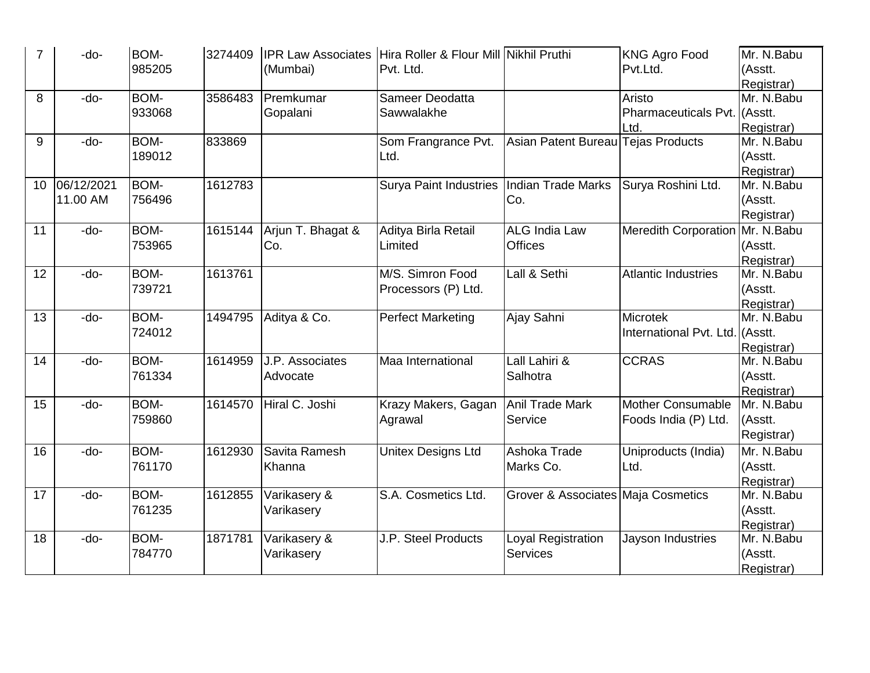| 7  | -do-                   | BOM-<br>985205 | 3274409 | (Mumbai)                           | IPR Law Associates   Hira Roller & Flour Mill Nikhil Pruthi<br>Pvt. Ltd. |                                        | <b>KNG Agro Food</b><br>Pvt.Ltd.                 | Mr. N.Babu<br>(Asstt.<br>Registrar) |
|----|------------------------|----------------|---------|------------------------------------|--------------------------------------------------------------------------|----------------------------------------|--------------------------------------------------|-------------------------------------|
| 8  | -do-                   | BOM-<br>933068 | 3586483 | Premkumar<br>Gopalani              | Sameer Deodatta<br>Sawwalakhe                                            |                                        | Aristo<br>Pharmaceuticals Pvt. (Asstt.<br>Ltd.   | Mr. N.Babu<br>Registrar)            |
| 9  | -do-                   | BOM-<br>189012 | 833869  |                                    | Som Frangrance Pvt.<br>Ltd.                                              | Asian Patent Bureau Tejas Products     |                                                  | Mr. N.Babu<br>(Asstt.<br>Registrar) |
| 10 | 06/12/2021<br>11.00 AM | BOM-<br>756496 | 1612783 |                                    | Surya Paint Industries   Indian Trade Marks                              | Co.                                    | Surya Roshini Ltd.                               | Mr. N.Babu<br>(Asstt.<br>Registrar) |
| 11 | -do-                   | BOM-<br>753965 | 1615144 | Arjun T. Bhagat &<br>Co.           | Aditya Birla Retail<br>Limited                                           | <b>ALG India Law</b><br><b>Offices</b> | Meredith Corporation   Mr. N. Babu               | (Asstt.<br>Registrar)               |
| 12 | -do-                   | BOM-<br>739721 | 1613761 |                                    | M/S. Simron Food<br>Processors (P) Ltd.                                  | Lall & Sethi                           | <b>Atlantic Industries</b>                       | Mr. N.Babu<br>(Asstt.<br>Registrar) |
| 13 | -do-                   | BOM-<br>724012 | 1494795 | Aditya & Co.                       | <b>Perfect Marketing</b>                                                 | Ajay Sahni                             | Microtek<br>International Pvt. Ltd. (Asstt.      | Mr. N.Babu<br>Registrar)            |
| 14 | -do-                   | BOM-<br>761334 | 1614959 | J.P. Associates<br>Advocate        | <b>Maa International</b>                                                 | Lall Lahiri &<br>Salhotra              | <b>CCRAS</b>                                     | Mr. N.Babu<br>(Asstt.<br>Registrar) |
| 15 | -do-                   | BOM-<br>759860 | 1614570 | Hiral C. Joshi                     | Krazy Makers, Gagan<br>Agrawal                                           | <b>Anil Trade Mark</b><br>Service      | <b>Mother Consumable</b><br>Foods India (P) Ltd. | Mr. N.Babu<br>(Asstt.<br>Registrar) |
| 16 | -do-                   | BOM-<br>761170 | 1612930 | Savita Ramesh<br>Khanna            | Unitex Designs Ltd                                                       | Ashoka Trade<br>Marks Co.              | Uniproducts (India)<br>Ltd.                      | Mr. N.Babu<br>(Asstt.<br>Registrar) |
| 17 | -do-                   | BOM-<br>761235 |         | 1612855 Varikasery &<br>Varikasery | S.A. Cosmetics Ltd.                                                      | Grover & Associates Maja Cosmetics     |                                                  | Mr. N.Babu<br>(Asstt.<br>Registrar) |
| 18 | -do-                   | BOM-<br>784770 | 1871781 | Varikasery &<br>Varikasery         | <b>J.P. Steel Products</b>                                               | Loyal Registration<br><b>Services</b>  | Jayson Industries                                | Mr. N.Babu<br>(Asstt.<br>Registrar) |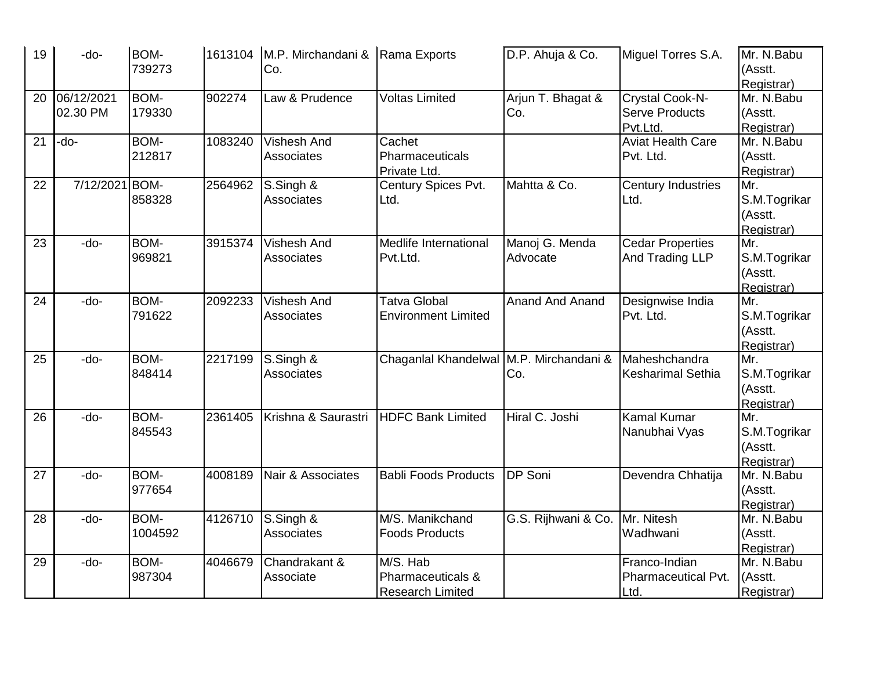| 19 | -do-           | <b>BOM-</b> |         | 1613104 M.P. Mirchandani & Rama Exports |                                         | D.P. Ahuja & Co.       | Miguel Torres S.A.       | Mr. N.Babu   |
|----|----------------|-------------|---------|-----------------------------------------|-----------------------------------------|------------------------|--------------------------|--------------|
|    |                | 739273      |         | Co.                                     |                                         |                        |                          | (Asstt.      |
|    |                |             |         |                                         |                                         |                        |                          | Registrar)   |
| 20 | 06/12/2021     | <b>BOM-</b> | 902274  | Law & Prudence                          | <b>Voltas Limited</b>                   | Arjun T. Bhagat &      | Crystal Cook-N-          | Mr. N.Babu   |
|    | 02.30 PM       | 179330      |         |                                         |                                         | Co.                    | <b>Serve Products</b>    | (Asstt.      |
|    |                |             |         |                                         |                                         |                        | Pvt.Ltd.                 | Registrar)   |
| 21 | -do-           | BOM-        | 1083240 | <b>Vishesh And</b>                      | Cachet                                  |                        | <b>Aviat Health Care</b> | Mr. N.Babu   |
|    |                | 212817      |         | Associates                              | Pharmaceuticals                         |                        | Pvt. Ltd.                | (Asstt.      |
|    |                |             |         |                                         | Private Ltd.                            |                        |                          | Registrar)   |
| 22 | 7/12/2021 BOM- |             | 2564962 | S.Singh &                               | Century Spices Pvt.                     | Mahtta & Co.           | Century Industries       | Mr.          |
|    |                | 858328      |         | <b>Associates</b>                       | Ltd.                                    |                        | Ltd.                     | S.M.Togrikar |
|    |                |             |         |                                         |                                         |                        |                          | (Asstt.      |
|    |                |             |         |                                         |                                         |                        |                          | Registrar)   |
| 23 | -do-           | BOM-        | 3915374 | <b>Vishesh And</b>                      | Medlife International                   | Manoj G. Menda         | <b>Cedar Properties</b>  | Mr.          |
|    |                | 969821      |         | Associates                              | Pvt.Ltd.                                | Advocate               | And Trading LLP          | S.M.Togrikar |
|    |                |             |         |                                         |                                         |                        |                          | (Asstt.      |
|    |                |             |         |                                         |                                         |                        |                          | Registrar)   |
| 24 | $-do-$         | <b>BOM-</b> | 2092233 | <b>Vishesh And</b>                      | Tatva Global                            | <b>Anand And Anand</b> | Designwise India         | Mr.          |
|    |                | 791622      |         | Associates                              | <b>Environment Limited</b>              |                        | Pvt. Ltd.                | S.M.Togrikar |
|    |                |             |         |                                         |                                         |                        |                          | (Asstt.      |
|    |                |             |         |                                         |                                         |                        |                          | Registrar)   |
| 25 | -do-           | BOM-        | 2217199 | S.Singh &                               | Chaganial Khandelwal M.P. Mirchandani & |                        | Maheshchandra            | Mr.          |
|    |                | 848414      |         | <b>Associates</b>                       |                                         | Co.                    | <b>Kesharimal Sethia</b> | S.M.Togrikar |
|    |                |             |         |                                         |                                         |                        |                          | (Asstt.      |
|    |                |             |         |                                         |                                         |                        |                          | Registrar)   |
| 26 | -do-           | <b>BOM-</b> | 2361405 | Krishna & Saurastri                     | <b>HDFC Bank Limited</b>                | Hiral C. Joshi         | <b>Kamal Kumar</b>       | Mr.          |
|    |                | 845543      |         |                                         |                                         |                        | Nanubhai Vyas            | S.M.Togrikar |
|    |                |             |         |                                         |                                         |                        |                          | (Asstt.      |
|    |                |             |         |                                         |                                         |                        |                          | Registrar)   |
| 27 | -do-           | <b>BOM-</b> | 4008189 | Nair & Associates                       | <b>Babli Foods Products</b>             | <b>DP</b> Soni         | Devendra Chhatija        | Mr. N.Babu   |
|    |                | 977654      |         |                                         |                                         |                        |                          | (Asstt.      |
|    |                |             |         |                                         |                                         |                        |                          | Registrar)   |
| 28 | -do-           | BOM-        | 4126710 | S.Singh &                               | M/S. Manikchand                         | G.S. Rijhwani & Co.    | Mr. Nitesh               | Mr. N.Babu   |
|    |                | 1004592     |         | Associates                              | <b>Foods Products</b>                   |                        | Wadhwani                 | (Asstt.      |
|    |                |             |         |                                         |                                         |                        |                          | Registrar)   |
| 29 | -do-           | BOM-        | 4046679 | Chandrakant &                           | M/S. Hab                                |                        | Franco-Indian            | Mr. N.Babu   |
|    |                | 987304      |         | Associate                               | Pharmaceuticals &                       |                        | Pharmaceutical Pvt.      | (Asstt.      |
|    |                |             |         |                                         | <b>Research Limited</b>                 |                        | Ltd.                     | Registrar)   |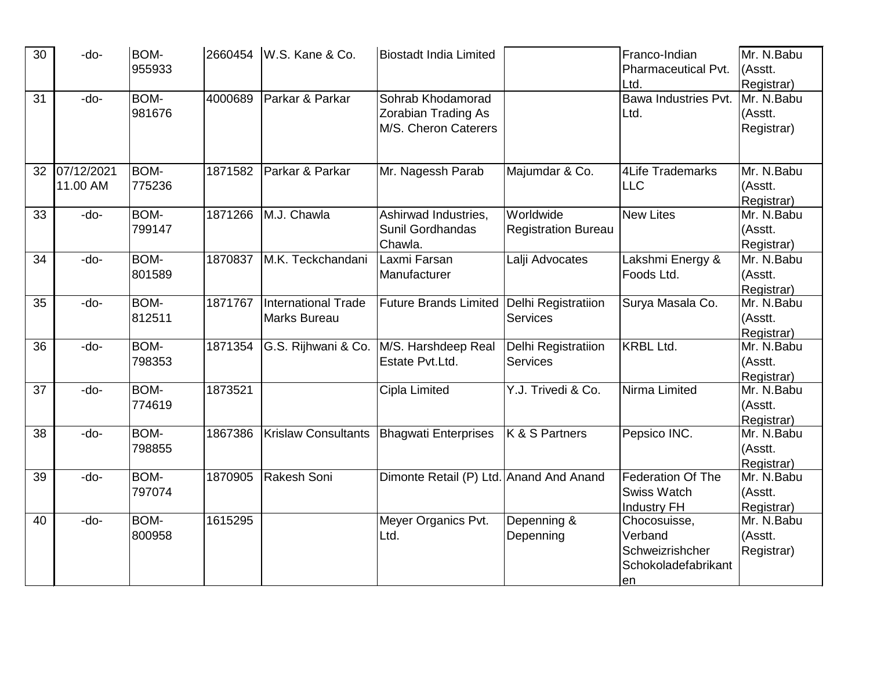| 30 | -do-       | BOM-        |         | 2660454 W.S. Kane & Co.    | <b>Biostadt India Limited</b>           |                            | Franco-Indian            | Mr. N.Babu |
|----|------------|-------------|---------|----------------------------|-----------------------------------------|----------------------------|--------------------------|------------|
|    |            | 955933      |         |                            |                                         |                            | Pharmaceutical Pvt.      | (Asstt.    |
|    |            |             |         |                            |                                         |                            | Ltd.                     | Registrar) |
| 31 | -do-       | BOM-        | 4000689 | Parkar & Parkar            | Sohrab Khodamorad                       |                            | Bawa Industries Pvt.     | Mr. N.Babu |
|    |            | 981676      |         |                            | <b>Zorabian Trading As</b>              |                            | Ltd.                     | (Asstt.    |
|    |            |             |         |                            | M/S. Cheron Caterers                    |                            |                          | Registrar) |
|    |            |             |         |                            |                                         |                            |                          |            |
| 32 | 07/12/2021 | BOM-        | 1871582 | Parkar & Parkar            | Mr. Nagessh Parab                       | Majumdar & Co.             | 4Life Trademarks         | Mr. N.Babu |
|    | 11.00 AM   | 775236      |         |                            |                                         |                            | <b>ILLC</b>              | (Asstt.    |
|    |            |             |         |                            |                                         |                            |                          | Registrar) |
| 33 | -do-       | BOM-        | 1871266 | M.J. Chawla                | Ashirwad Industries,                    | Worldwide                  | <b>New Lites</b>         | Mr. N.Babu |
|    |            | 799147      |         |                            | <b>Sunil Gordhandas</b>                 | <b>Registration Bureau</b> |                          | (Asstt.    |
|    |            |             |         |                            | Chawla.                                 |                            |                          | Registrar) |
| 34 | -do-       | <b>BOM-</b> | 1870837 | M.K. Teckchandani          | Laxmi Farsan                            | Lalji Advocates            | Lakshmi Energy &         | Mr. N.Babu |
|    |            | 801589      |         |                            | Manufacturer                            |                            | Foods Ltd.               | (Asstt.    |
|    |            |             |         |                            |                                         |                            |                          | Registrar) |
| 35 | -do-       | BOM-        | 1871767 | <b>International Trade</b> | <b>Future Brands Limited</b>            | Delhi Registratiion        | Surya Masala Co.         | Mr. N.Babu |
|    |            | 812511      |         | <b>Marks Bureau</b>        |                                         | <b>Services</b>            |                          | (Asstt.    |
|    |            |             |         |                            |                                         |                            |                          | Registrar) |
| 36 | -do-       | <b>BOM-</b> | 1871354 | G.S. Rijhwani & Co.        | M/S. Harshdeep Real                     | Delhi Registratiion        | <b>KRBL Ltd.</b>         | Mr. N.Babu |
|    |            | 798353      |         |                            | Estate Pvt.Ltd.                         | <b>Services</b>            |                          | (Asstt.    |
|    |            |             |         |                            |                                         |                            |                          | Registrar) |
| 37 | -do-       | BOM-        | 1873521 |                            | Cipla Limited                           | Y.J. Trivedi & Co.         | Nirma Limited            | Mr. N.Babu |
|    |            | 774619      |         |                            |                                         |                            |                          | (Asstt.    |
|    |            |             |         |                            |                                         |                            |                          | Registrar) |
| 38 | -do-       | BOM-        | 1867386 | <b>Krislaw Consultants</b> | <b>Bhagwati Enterprises</b>             | K & S Partners             | Pepsico INC.             | Mr. N.Babu |
|    |            | 798855      |         |                            |                                         |                            |                          | (Asstt.    |
|    |            |             |         |                            |                                         |                            |                          | Registrar) |
| 39 | -do-       | <b>BOM-</b> | 1870905 | Rakesh Soni                | Dimonte Retail (P) Ltd. Anand And Anand |                            | <b>Federation Of The</b> | Mr. N.Babu |
|    |            | 797074      |         |                            |                                         |                            | <b>Swiss Watch</b>       | (Asstt.    |
|    |            |             |         |                            |                                         |                            | <b>Industry FH</b>       | Registrar) |
| 40 | -do-       | BOM-        | 1615295 |                            | Meyer Organics Pvt.                     | Depenning &                | Chocosuisse,             | Mr. N.Babu |
|    |            | 800958      |         |                            | Ltd.                                    | Depenning                  | Verband                  | (Asstt.    |
|    |            |             |         |                            |                                         |                            | Schweizrishcher          | Registrar) |
|    |            |             |         |                            |                                         |                            | Schokoladefabrikant      |            |
|    |            |             |         |                            |                                         |                            | en                       |            |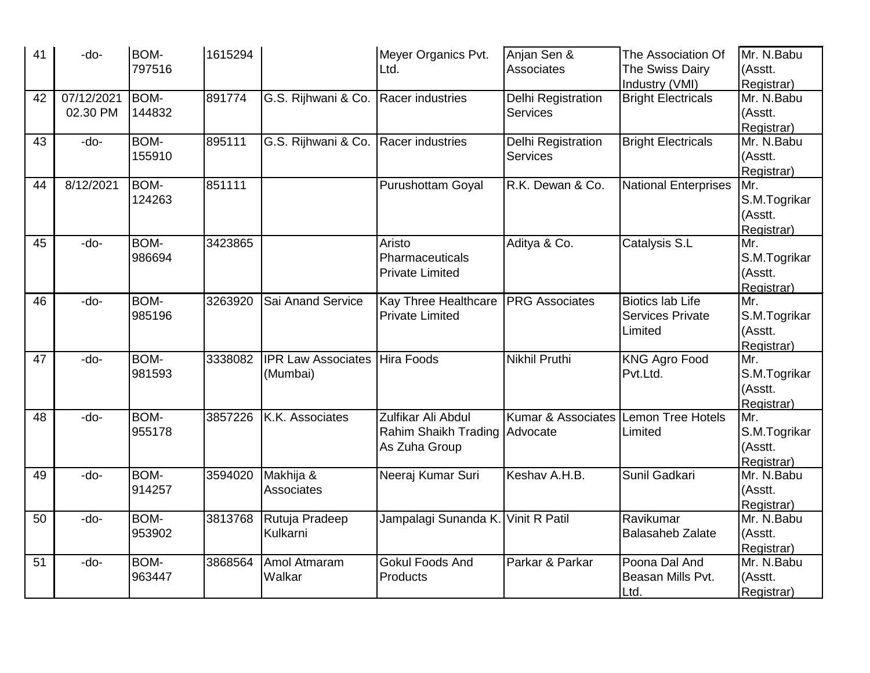| 41 | -do-       | BOM-        | 1615294 |                           | Meyer Organics Pvt.                | Anjan Sen &                   | The Association Of          | Mr. N.Babu   |
|----|------------|-------------|---------|---------------------------|------------------------------------|-------------------------------|-----------------------------|--------------|
|    |            | 797516      |         |                           | Ltd.                               | Associates                    | The Swiss Dairy             | (Asstt.      |
|    |            |             |         |                           |                                    |                               | Industry (VMI)              | Registrar)   |
| 42 | 07/12/2021 | <b>BOM-</b> | 891774  | G.S. Rijhwani & Co.       | Racer industries                   | Delhi Registration            | <b>Bright Electricals</b>   | Mr. N.Babu   |
|    | 02.30 PM   | 144832      |         |                           |                                    | <b>Services</b>               |                             | (Asstt.      |
|    |            |             |         |                           |                                    |                               |                             | Registrar)   |
| 43 | -do-       | BOM-        | 895111  | G.S. Rijhwani & Co.       | Racer industries                   | Delhi Registration            | <b>Bright Electricals</b>   | Mr. N.Babu   |
|    |            | 155910      |         |                           |                                    | <b>Services</b>               |                             | (Asstt.      |
|    |            |             |         |                           |                                    |                               |                             | Registrar)   |
| 44 | 8/12/2021  | <b>BOM-</b> | 851111  |                           | <b>Purushottam Goyal</b>           | R.K. Dewan & Co.              | <b>National Enterprises</b> | Mr.          |
|    |            | 124263      |         |                           |                                    |                               |                             | S.M.Togrikar |
|    |            |             |         |                           |                                    |                               |                             | (Asstt.      |
|    |            |             |         |                           |                                    |                               |                             | Registrar)   |
| 45 | -do-       | BOM-        | 3423865 |                           | Aristo                             | Aditya & Co.                  | Catalysis S.L               | Mr.          |
|    |            | 986694      |         |                           | Pharmaceuticals                    |                               |                             | S.M.Togrikar |
|    |            |             |         |                           | <b>Private Limited</b>             |                               |                             | (Asstt.      |
|    |            |             |         |                           |                                    |                               |                             | Registrar)   |
| 46 | -do-       | BOM-        | 3263920 | Sai Anand Service         | <b>Kay Three Healthcare</b>        | <b>PRG Associates</b>         | <b>Biotics lab Life</b>     | Mr.          |
|    |            | 985196      |         |                           | <b>Private Limited</b>             |                               | <b>Services Private</b>     | S.M.Togrikar |
|    |            |             |         |                           |                                    |                               | Limited                     | (Asstt.      |
|    |            |             |         |                           |                                    |                               |                             | Registrar)   |
| 47 | -do-       | BOM-        | 3338082 | <b>IPR Law Associates</b> | <b>Hira Foods</b>                  | Nikhil Pruthi                 | <b>KNG Agro Food</b>        | Mr.          |
|    |            | 981593      |         | (Mumbai)                  |                                    |                               | Pvt.Ltd.                    | S.M.Togrikar |
|    |            |             |         |                           |                                    |                               |                             | (Asstt.      |
|    |            |             |         |                           |                                    |                               |                             | Registrar)   |
| 48 | -do-       | BOM-        | 3857226 | K.K. Associates           | Zulfikar Ali Abdul                 | <b>Kumar &amp; Associates</b> | Lemon Tree Hotels           | Mr.          |
|    |            | 955178      |         |                           | Rahim Shaikh Trading Advocate      |                               | Limited                     | S.M.Togrikar |
|    |            |             |         |                           | As Zuha Group                      |                               |                             | (Asstt.      |
|    |            |             |         |                           |                                    |                               |                             | Registrar)   |
| 49 | -do-       | BOM-        | 3594020 | Makhija &                 | Neeraj Kumar Suri                  | Keshav A.H.B.                 | Sunil Gadkari               | Mr. N.Babu   |
|    |            | 914257      |         | <b>Associates</b>         |                                    |                               |                             | (Asstt.      |
|    |            |             |         |                           |                                    |                               |                             | Registrar)   |
| 50 | -do-       | BOM-        | 3813768 | Rutuja Pradeep            | Jampalagi Sunanda K. Vinit R Patil |                               | Ravikumar                   | Mr. N.Babu   |
|    |            | 953902      |         | Kulkarni                  |                                    |                               | <b>Balasaheb Zalate</b>     | (Asstt.      |
|    |            |             |         |                           |                                    |                               |                             | Registrar)   |
| 51 | -do-       | BOM-        | 3868564 | Amol Atmaram              | <b>Gokul Foods And</b>             | Parkar & Parkar               | Poona Dal And               | Mr. N.Babu   |
|    |            | 963447      |         | Walkar                    | Products                           |                               | Beasan Mills Pvt.           | (Asstt.      |
|    |            |             |         |                           |                                    |                               | Ltd.                        | Registrar)   |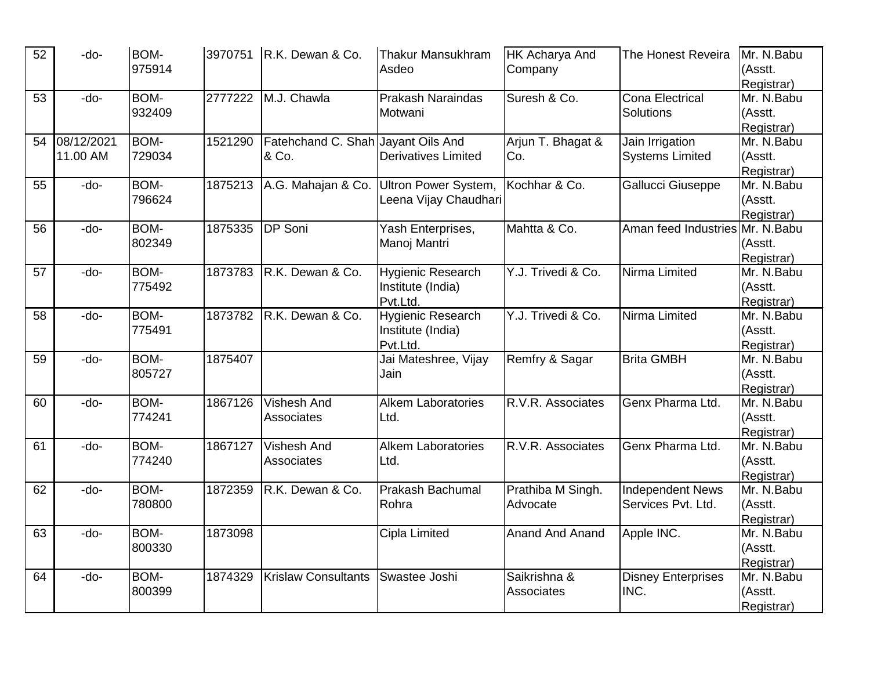| 52 | -do-       | <b>BOM-</b> | 3970751 | R.K. Dewan & Co.                   | <b>Thakur Mansukhram</b>   | <b>HK Acharya And</b>  | The Honest Reveira               | Mr. N.Babu |
|----|------------|-------------|---------|------------------------------------|----------------------------|------------------------|----------------------------------|------------|
|    |            | 975914      |         |                                    | Asdeo                      | Company                |                                  | (Asstt.    |
|    |            |             |         |                                    |                            |                        |                                  | Registrar) |
| 53 | -do-       | <b>BOM-</b> | 2777222 | M.J. Chawla                        | <b>Prakash Naraindas</b>   | Suresh & Co.           | <b>Cona Electrical</b>           | Mr. N.Babu |
|    |            | 932409      |         |                                    | Motwani                    |                        | Solutions                        | (Asstt.    |
|    |            |             |         |                                    |                            |                        |                                  | Registrar) |
| 54 | 08/12/2021 | <b>BOM-</b> | 1521290 | Fatehchand C. Shah Jayant Oils And |                            | Arjun T. Bhagat &      | Jain Irrigation                  | Mr. N.Babu |
|    | 11.00 AM   | 729034      |         | & Co.                              | <b>Derivatives Limited</b> | Co.                    | <b>Systems Limited</b>           | (Asstt.    |
|    |            |             |         |                                    |                            |                        |                                  | Registrar) |
| 55 | -do-       | <b>BOM-</b> | 1875213 | A.G. Mahajan & Co.                 | Ultron Power System,       | Kochhar & Co.          | Gallucci Giuseppe                | Mr. N.Babu |
|    |            | 796624      |         |                                    | Leena Vijay Chaudhari      |                        |                                  | (Asstt.    |
|    |            |             |         |                                    |                            |                        |                                  | Registrar) |
| 56 | -do-       | <b>BOM-</b> | 1875335 | DP Soni                            | Yash Enterprises,          | Mahtta & Co.           | Aman feed Industries Mr. N. Babu |            |
|    |            | 802349      |         |                                    | Manoj Mantri               |                        |                                  | (Asstt.    |
|    |            |             |         |                                    |                            |                        |                                  | Registrar) |
| 57 | -do-       | <b>BOM-</b> | 1873783 | R.K. Dewan & Co.                   | <b>Hygienic Research</b>   | Y.J. Trivedi & Co.     | Nirma Limited                    | Mr. N.Babu |
|    |            | 775492      |         |                                    | Institute (India)          |                        |                                  | (Asstt.    |
|    |            |             |         |                                    | Pvt.Ltd.                   |                        |                                  | Registrar) |
| 58 | -do-       | <b>BOM-</b> | 1873782 | R.K. Dewan & Co.                   | <b>Hygienic Research</b>   | Y.J. Trivedi & Co.     | Nirma Limited                    | Mr. N.Babu |
|    |            | 775491      |         |                                    | Institute (India)          |                        |                                  | (Asstt.    |
|    |            |             |         |                                    | Pvt.Ltd.                   |                        |                                  | Registrar) |
| 59 | -do-       | <b>BOM-</b> | 1875407 |                                    | Jai Mateshree, Vijay       | Remfry & Sagar         | <b>Brita GMBH</b>                | Mr. N.Babu |
|    |            | 805727      |         |                                    | Jain                       |                        |                                  | (Asstt.    |
|    |            |             |         |                                    |                            |                        |                                  | Registrar) |
| 60 | -do-       | <b>BOM-</b> | 1867126 | <b>Vishesh And</b>                 | <b>Alkem Laboratories</b>  | R.V.R. Associates      | Genx Pharma Ltd.                 | Mr. N.Babu |
|    |            | 774241      |         | Associates                         | Ltd.                       |                        |                                  | (Asstt.    |
|    |            |             |         |                                    |                            |                        |                                  | Registrar) |
| 61 | -do-       | <b>BOM-</b> | 1867127 | <b>Vishesh And</b>                 | <b>Alkem Laboratories</b>  | R.V.R. Associates      | Genx Pharma Ltd.                 | Mr. N.Babu |
|    |            | 774240      |         | <b>Associates</b>                  | Ltd.                       |                        |                                  | (Asstt.    |
|    |            |             |         |                                    |                            |                        |                                  | Registrar) |
| 62 | -do-       | <b>BOM-</b> | 1872359 | R.K. Dewan & Co.                   | <b>Prakash Bachumal</b>    | Prathiba M Singh.      | <b>Independent News</b>          | Mr. N.Babu |
|    |            | 780800      |         |                                    | Rohra                      | Advocate               | Services Pvt. Ltd.               | (Asstt.    |
|    |            |             |         |                                    |                            |                        |                                  | Registrar) |
| 63 | -do-       | BOM-        | 1873098 |                                    | Cipla Limited              | <b>Anand And Anand</b> | Apple INC.                       | Mr. N.Babu |
|    |            | 800330      |         |                                    |                            |                        |                                  | (Asstt.    |
|    |            |             |         |                                    |                            |                        |                                  | Registrar) |
| 64 | -do-       | <b>BOM-</b> | 1874329 | <b>Krislaw Consultants</b>         | Swastee Joshi              | Saikrishna &           | <b>Disney Enterprises</b>        | Mr. N.Babu |
|    |            | 800399      |         |                                    |                            | <b>Associates</b>      | INC.                             | (Asstt.    |
|    |            |             |         |                                    |                            |                        |                                  | Registrar) |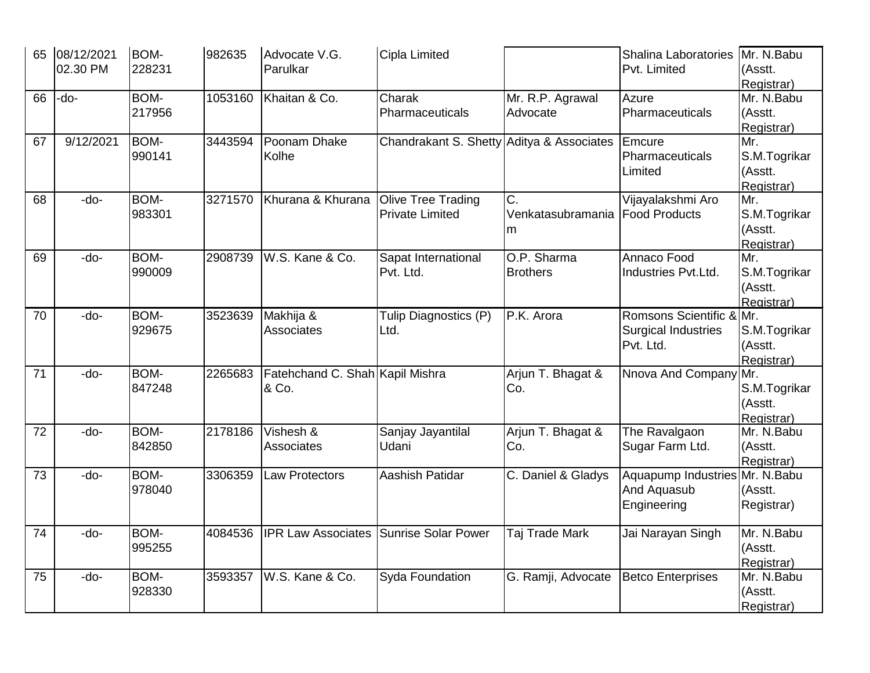| 65 | 08/12/2021 | BOM-        | 982635  | Advocate V.G.                                 | Cipla Limited                             |                    | Shalina Laboratories            | Mr. N.Babu   |
|----|------------|-------------|---------|-----------------------------------------------|-------------------------------------------|--------------------|---------------------------------|--------------|
|    | 02.30 PM   | 228231      |         | Parulkar                                      |                                           |                    | Pvt. Limited                    | (Asstt.      |
|    |            |             |         |                                               |                                           |                    |                                 | Registrar)   |
| 66 | -do-       | BOM-        | 1053160 | Khaitan & Co.                                 | Charak                                    | Mr. R.P. Agrawal   | Azure                           | Mr. N.Babu   |
|    |            | 217956      |         |                                               | Pharmaceuticals                           | Advocate           | Pharmaceuticals                 | (Asstt.      |
|    |            |             |         |                                               |                                           |                    |                                 | Registrar)   |
| 67 | 9/12/2021  | <b>BOM-</b> | 3443594 | Poonam Dhake                                  | Chandrakant S. Shetty Aditya & Associates |                    | Emcure                          | Mr.          |
|    |            | 990141      |         | Kolhe                                         |                                           |                    | Pharmaceuticals                 | S.M.Togrikar |
|    |            |             |         |                                               |                                           |                    | Limited                         | (Asstt.      |
|    |            |             |         |                                               |                                           |                    |                                 | Registrar)   |
| 68 | -do-       | BOM-        | 3271570 | Khurana & Khurana                             | Olive Tree Trading                        | C.                 | Vijayalakshmi Aro               | Mr.          |
|    |            | 983301      |         |                                               | <b>Private Limited</b>                    | Venkatasubramania  | <b>Food Products</b>            | S.M.Togrikar |
|    |            |             |         |                                               |                                           | ım                 |                                 | (Asstt.      |
|    |            |             |         |                                               |                                           |                    |                                 | Registrar)   |
| 69 | -do-       | BOM-        | 2908739 | W.S. Kane & Co.                               | Sapat International                       | O.P. Sharma        | Annaco Food                     | Mr.          |
|    |            | 990009      |         |                                               | Pvt. Ltd.                                 | <b>Brothers</b>    | Industries Pvt.Ltd.             | S.M.Togrikar |
|    |            |             |         |                                               |                                           |                    |                                 | (Asstt.      |
|    |            |             |         |                                               |                                           |                    |                                 | Registrar)   |
| 70 | -do-       | <b>BOM-</b> | 3523639 | Makhija &                                     | Tulip Diagnostics (P)                     | P.K. Arora         | Romsons Scientific & Mr.        |              |
|    |            | 929675      |         | Associates                                    | Ltd.                                      |                    | <b>Surgical Industries</b>      | S.M.Togrikar |
|    |            |             |         |                                               |                                           |                    | Pvt. Ltd.                       | (Asstt.      |
|    |            |             |         |                                               |                                           |                    |                                 | Registrar)   |
| 71 | -do-       | BOM-        | 2265683 | Fatehchand C. Shah Kapil Mishra               |                                           | Arjun T. Bhagat &  | Nnova And Company Mr.           |              |
|    |            | 847248      |         | & Co.                                         |                                           | Co.                |                                 | S.M.Togrikar |
|    |            |             |         |                                               |                                           |                    |                                 | (Asstt.      |
|    |            |             |         |                                               |                                           |                    |                                 | Registrar)   |
| 72 | -do-       | BOM-        | 2178186 | Vishesh &                                     | Sanjay Jayantilal                         | Arjun T. Bhagat &  | The Ravalgaon                   | Mr. N.Babu   |
|    |            | 842850      |         | <b>Associates</b>                             | Udani                                     | Co.                | Sugar Farm Ltd.                 | (Asstt.      |
|    |            |             |         |                                               |                                           |                    |                                 | Registrar)   |
| 73 | -do-       | BOM-        | 3306359 | Law Protectors                                | Aashish Patidar                           | C. Daniel & Gladys | Aquapump Industries Mr. N. Babu |              |
|    |            | 978040      |         |                                               |                                           |                    | And Aquasub                     | (Asstt.      |
|    |            |             |         |                                               |                                           |                    | Engineering                     | Registrar)   |
|    |            |             |         |                                               |                                           |                    |                                 |              |
| 74 | -do-       | BOM-        | 4084536 | <b>IPR Law Associates Sunrise Solar Power</b> |                                           | Taj Trade Mark     | Jai Narayan Singh               | Mr. N.Babu   |
|    |            | 995255      |         |                                               |                                           |                    |                                 | (Asstt.      |
|    |            |             |         |                                               |                                           |                    |                                 | Registrar)   |
| 75 | -do-       | BOM-        | 3593357 | W.S. Kane & Co.                               | Syda Foundation                           | G. Ramji, Advocate | <b>Betco Enterprises</b>        | Mr. N.Babu   |
|    |            | 928330      |         |                                               |                                           |                    |                                 | (Asstt.      |
|    |            |             |         |                                               |                                           |                    |                                 | Registrar)   |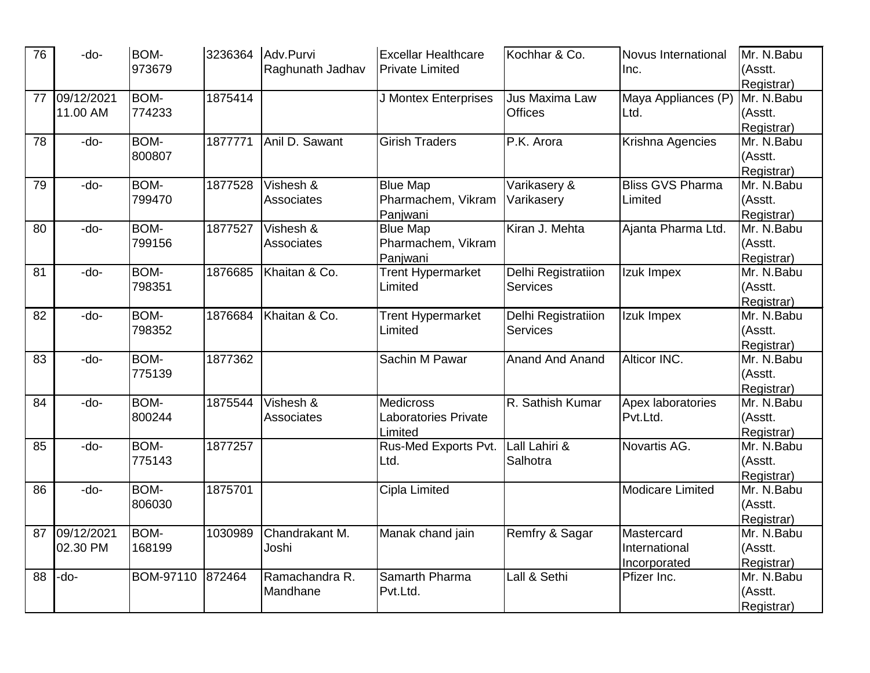| 76 | -do-       | BOM-             | 3236364 | Adv.Purvi         | <b>Excellar Healthcare</b> | Kochhar & Co.          | <b>Novus International</b> | Mr. N.Babu |
|----|------------|------------------|---------|-------------------|----------------------------|------------------------|----------------------------|------------|
|    |            | 973679           |         | Raghunath Jadhav  | <b>Private Limited</b>     |                        | Inc.                       | (Asstt.    |
|    |            |                  |         |                   |                            |                        |                            | Registrar) |
| 77 | 09/12/2021 | BOM-             | 1875414 |                   | J Montex Enterprises       | Jus Maxima Law         | Maya Appliances (P)        | Mr. N.Babu |
|    | 11.00 AM   | 774233           |         |                   |                            | <b>Offices</b>         | Ltd.                       | (Asstt.    |
|    |            |                  |         |                   |                            |                        |                            | Registrar) |
| 78 | -do-       | BOM-             | 1877771 | Anil D. Sawant    | <b>Girish Traders</b>      | P.K. Arora             | Krishna Agencies           | Mr. N.Babu |
|    |            | 800807           |         |                   |                            |                        |                            | (Asstt.    |
|    |            |                  |         |                   |                            |                        |                            | Registrar) |
| 79 | -do-       | BOM-             | 1877528 | Vishesh &         | <b>Blue Map</b>            | Varikasery &           | <b>Bliss GVS Pharma</b>    | Mr. N.Babu |
|    |            | 799470           |         | Associates        | Pharmachem, Vikram         | Varikasery             | Limited                    | (Asstt.    |
|    |            |                  |         |                   | Panjwani                   |                        |                            | Registrar) |
| 80 | -do-       | <b>BOM-</b>      | 1877527 | Vishesh &         | <b>Blue Map</b>            | Kiran J. Mehta         | Ajanta Pharma Ltd.         | Mr. N.Babu |
|    |            | 799156           |         | Associates        | Pharmachem, Vikram         |                        |                            | (Asstt.    |
|    |            |                  |         |                   | Panjwani                   |                        |                            | Registrar) |
| 81 | -do-       | BOM-             | 1876685 | Khaitan & Co.     | <b>Trent Hypermarket</b>   | Delhi Registratiion    | Izuk Impex                 | Mr. N.Babu |
|    |            | 798351           |         |                   | Limited                    | <b>Services</b>        |                            | (Asstt.    |
|    |            |                  |         |                   |                            |                        |                            | Registrar) |
| 82 | -do-       | BOM-             | 1876684 | Khaitan & Co.     | <b>Trent Hypermarket</b>   | Delhi Registratiion    | Izuk Impex                 | Mr. N.Babu |
|    |            | 798352           |         |                   | Limited                    | <b>Services</b>        |                            | (Asstt.    |
|    |            |                  |         |                   |                            |                        |                            | Registrar) |
| 83 | -do-       | BOM-             | 1877362 |                   | Sachin M Pawar             | <b>Anand And Anand</b> | Alticor INC.               | Mr. N.Babu |
|    |            | 775139           |         |                   |                            |                        |                            | (Asstt.    |
|    |            |                  |         |                   |                            |                        |                            | Registrar) |
| 84 | -do-       | BOM-             | 1875544 | Vishesh &         | <b>Medicross</b>           | R. Sathish Kumar       | Apex laboratories          | Mr. N.Babu |
|    |            | 800244           |         | <b>Associates</b> | Laboratories Private       |                        | Pvt.Ltd.                   | (Asstt.    |
|    |            |                  |         |                   | Limited                    |                        |                            | Registrar) |
| 85 | -do-       | BOM-             | 1877257 |                   | Rus-Med Exports Pvt.       | Lall Lahiri &          | Novartis AG.               | Mr. N.Babu |
|    |            | 775143           |         |                   | Ltd.                       | Salhotra               |                            | (Asstt.    |
|    |            |                  |         |                   |                            |                        |                            | Registrar) |
| 86 | -do-       | <b>BOM-</b>      | 1875701 |                   | Cipla Limited              |                        | <b>Modicare Limited</b>    | Mr. N.Babu |
|    |            | 806030           |         |                   |                            |                        |                            | (Asstt.    |
|    |            |                  |         |                   |                            |                        |                            | Registrar) |
| 87 | 09/12/2021 | BOM-             | 1030989 | Chandrakant M.    | Manak chand jain           | Remfry & Sagar         | Mastercard                 | Mr. N.Babu |
|    | 02.30 PM   | 168199           |         | Joshi             |                            |                        | International              | (Asstt.    |
|    |            |                  |         |                   |                            |                        | Incorporated               | Registrar) |
| 88 | -do-       | <b>BOM-97110</b> | 872464  | Ramachandra R.    | Samarth Pharma             | Lall & Sethi           | Pfizer Inc.                | Mr. N.Babu |
|    |            |                  |         | Mandhane          | Pvt.Ltd.                   |                        |                            | (Asstt.    |
|    |            |                  |         |                   |                            |                        |                            | Registrar) |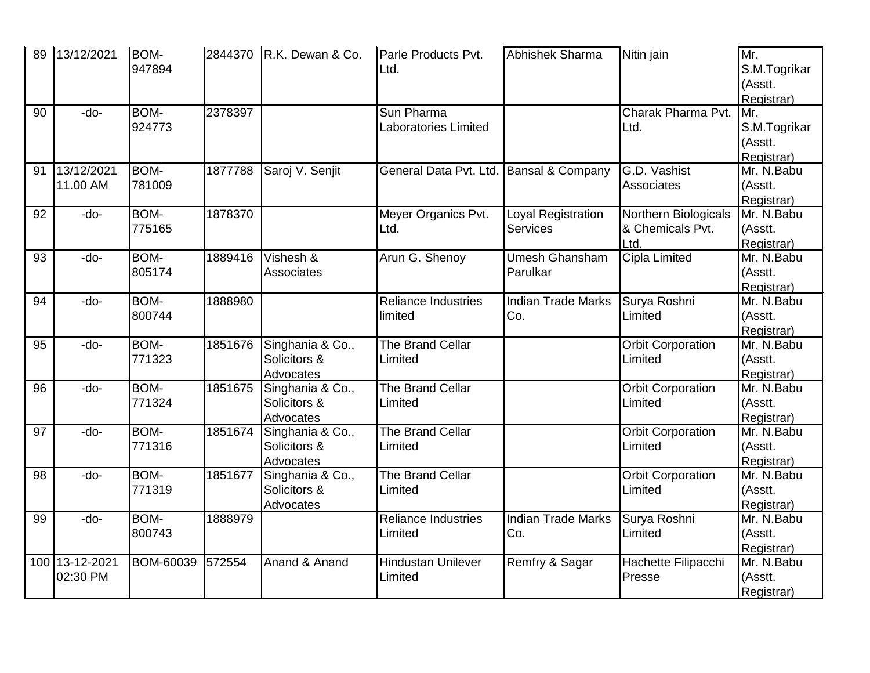| 89 | 13/12/2021                 | BOM-<br>947894        |         | 2844370 R.K. Dewan & Co.                      | Parle Products Pvt.<br>Ltd.               | Abhishek Sharma                       | Nitin jain                                       | Mr.<br>S.M.Togrikar<br>(Asstt.<br>Registrar) |
|----|----------------------------|-----------------------|---------|-----------------------------------------------|-------------------------------------------|---------------------------------------|--------------------------------------------------|----------------------------------------------|
| 90 | -do-                       | BOM-<br>924773        | 2378397 |                                               | Sun Pharma<br><b>Laboratories Limited</b> |                                       | Charak Pharma Pvt.<br>Ltd.                       | Mr.<br>S.M.Togrikar<br>(Asstt.<br>Registrar) |
| 91 | 13/12/2021<br>11.00 AM     | <b>BOM-</b><br>781009 | 1877788 | Saroj V. Senjit                               | General Data Pvt. Ltd.                    | Bansal & Company                      | G.D. Vashist<br><b>Associates</b>                | Mr. N.Babu<br>(Asstt.<br>Registrar)          |
| 92 | -do-                       | BOM-<br>775165        | 1878370 |                                               | Meyer Organics Pvt.<br>Ltd.               | Loyal Registration<br><b>Services</b> | Northern Biologicals<br>& Chemicals Pvt.<br>Ltd. | Mr. N.Babu<br>(Asstt.<br>Registrar)          |
| 93 | -do-                       | BOM-<br>805174        | 1889416 | Vishesh &<br>Associates                       | Arun G. Shenoy                            | <b>Umesh Ghansham</b><br>Parulkar     | Cipla Limited                                    | Mr. N.Babu<br>(Asstt.<br>Registrar)          |
| 94 | -do-                       | <b>BOM-</b><br>800744 | 1888980 |                                               | <b>Reliance Industries</b><br>limited     | <b>Indian Trade Marks</b><br>Co.      | Surya Roshni<br>Limited                          | Mr. N.Babu<br>(Asstt.<br>Registrar)          |
| 95 | -do-                       | BOM-<br>771323        | 1851676 | Singhania & Co.,<br>Solicitors &<br>Advocates | The Brand Cellar<br>Limited               |                                       | <b>Orbit Corporation</b><br>Limited              | Mr. N.Babu<br>(Asstt.<br>Registrar)          |
| 96 | -do-                       | BOM-<br>771324        | 1851675 | Singhania & Co.,<br>Solicitors &<br>Advocates | The Brand Cellar<br>Limited               |                                       | <b>Orbit Corporation</b><br>Limited              | Mr. N.Babu<br>(Asstt.<br>Registrar)          |
| 97 | -do-                       | BOM-<br>771316        | 1851674 | Singhania & Co.,<br>Solicitors &<br>Advocates | The Brand Cellar<br>Limited               |                                       | <b>Orbit Corporation</b><br>Limited              | Mr. N.Babu<br>(Asstt.<br>Registrar)          |
| 98 | -do-                       | BOM-<br>771319        | 1851677 | Singhania & Co.,<br>Solicitors &<br>Advocates | The Brand Cellar<br>Limited               |                                       | <b>Orbit Corporation</b><br>Limited              | Mr. N.Babu<br>(Asstt.<br>Registrar)          |
| 99 | -do-                       | BOM-<br>800743        | 1888979 |                                               | <b>Reliance Industries</b><br>Limited     | <b>Indian Trade Marks</b><br>Co.      | Surya Roshni<br>Limited                          | Mr. N.Babu<br>(Asstt.<br>Registrar)          |
|    | 100 13-12-2021<br>02:30 PM | <b>BOM-60039</b>      | 572554  | Anand & Anand                                 | <b>Hindustan Unilever</b><br>Limited      | Remfry & Sagar                        | Hachette Filipacchi<br>Presse                    | Mr. N.Babu<br>(Asstt.<br>Registrar)          |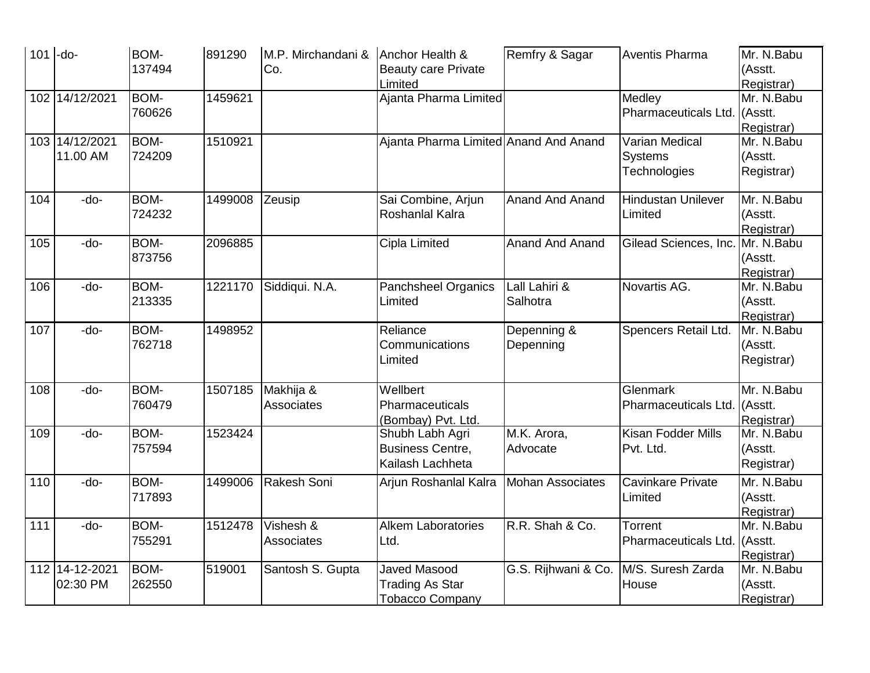| 101 | $-do-$         | <b>BOM-</b> | 891290  | M.P. Mirchandani & | Anchor Health &                       | Remfry & Sagar          | <b>Aventis Pharma</b>        | Mr. N.Babu               |
|-----|----------------|-------------|---------|--------------------|---------------------------------------|-------------------------|------------------------------|--------------------------|
|     |                | 137494      |         | Co.                | <b>Beauty care Private</b>            |                         |                              | (Asstt.                  |
|     |                |             |         |                    | Limited                               |                         |                              | Registrar)               |
| 102 | 14/12/2021     | <b>BOM-</b> | 1459621 |                    | Ajanta Pharma Limited                 |                         | Medley                       | Mr. N.Babu               |
|     |                | 760626      |         |                    |                                       |                         | Pharmaceuticals Ltd. (Asstt. |                          |
|     |                |             |         |                    |                                       |                         |                              | Registrar)               |
|     | 103 14/12/2021 | <b>BOM-</b> | 1510921 |                    | Ajanta Pharma Limited Anand And Anand |                         | <b>Varian Medical</b>        | Mr. N.Babu               |
|     | 11.00 AM       | 724209      |         |                    |                                       |                         | <b>Systems</b>               | (Asstt.                  |
|     |                |             |         |                    |                                       |                         | Technologies                 | Registrar)               |
|     |                |             |         |                    |                                       |                         |                              |                          |
| 104 | -do-           | <b>BOM-</b> | 1499008 | Zeusip             | Sai Combine, Arjun                    | <b>Anand And Anand</b>  | <b>Hindustan Unilever</b>    | Mr. N.Babu               |
|     |                | 724232      |         |                    | Roshanlal Kalra                       |                         | Limited                      | (Asstt.                  |
|     |                |             |         |                    |                                       |                         |                              | Registrar)               |
| 105 | -do-           | <b>BOM-</b> | 2096885 |                    | Cipla Limited                         | <b>Anand And Anand</b>  | Gilead Sciences, Inc.        | Mr. N.Babu               |
|     |                | 873756      |         |                    |                                       |                         |                              | (Asstt.                  |
| 106 | -do-           | <b>BOM-</b> | 1221170 |                    |                                       | Lall Lahiri &           | Novartis AG.                 | Registrar)<br>Mr. N.Babu |
|     |                |             |         | Siddiqui. N.A.     | Panchsheel Organics<br>Limited        | Salhotra                |                              |                          |
|     |                | 213335      |         |                    |                                       |                         |                              | (Asstt.                  |
| 107 | -do-           | <b>BOM-</b> | 1498952 |                    | Reliance                              | Depenning &             | Spencers Retail Ltd.         | Registrar)<br>Mr. N.Babu |
|     |                | 762718      |         |                    | Communications                        | Depenning               |                              | (Asstt.                  |
|     |                |             |         |                    | Limited                               |                         |                              | Registrar)               |
|     |                |             |         |                    |                                       |                         |                              |                          |
| 108 | -do-           | <b>BOM-</b> | 1507185 | Makhija &          | Wellbert                              |                         | Glenmark                     | Mr. N.Babu               |
|     |                | 760479      |         | Associates         | Pharmaceuticals                       |                         | Pharmaceuticals Ltd.         | l(Asstt.                 |
|     |                |             |         |                    | (Bombay) Pvt. Ltd.                    |                         |                              | Registrar)               |
| 109 | -do-           | <b>BOM-</b> | 1523424 |                    | Shubh Labh Agri                       | M.K. Arora,             | <b>Kisan Fodder Mills</b>    | Mr. N.Babu               |
|     |                | 757594      |         |                    | <b>Business Centre,</b>               | Advocate                | Pvt. Ltd.                    | (Asstt.                  |
|     |                |             |         |                    | Kailash Lachheta                      |                         |                              | Registrar)               |
| 110 | -do-           | <b>BOM-</b> | 1499006 | Rakesh Soni        | Arjun Roshanlal Kalra                 | <b>Mohan Associates</b> | <b>Cavinkare Private</b>     | Mr. N.Babu               |
|     |                | 717893      |         |                    |                                       |                         | Limited                      | (Asstt.                  |
|     |                |             |         |                    |                                       |                         |                              | Registrar)               |
| 111 | -do-           | BOM-        | 1512478 | Vishesh &          | <b>Alkem Laboratories</b>             | R.R. Shah & Co.         | Torrent                      | Mr. N.Babu               |
|     |                | 755291      |         | <b>Associates</b>  | Ltd.                                  |                         | Pharmaceuticals Ltd.         | . (Asstt.                |
|     |                |             |         |                    |                                       |                         |                              | Registrar)               |
|     | 112 14-12-2021 | <b>BOM-</b> | 519001  | Santosh S. Gupta   | Javed Masood                          | G.S. Rijhwani & Co.     | M/S. Suresh Zarda            | Mr. N.Babu               |
|     | 02:30 PM       | 262550      |         |                    | <b>Trading As Star</b>                |                         | House                        | (Asstt.                  |
|     |                |             |         |                    | <b>Tobacco Company</b>                |                         |                              | Registrar)               |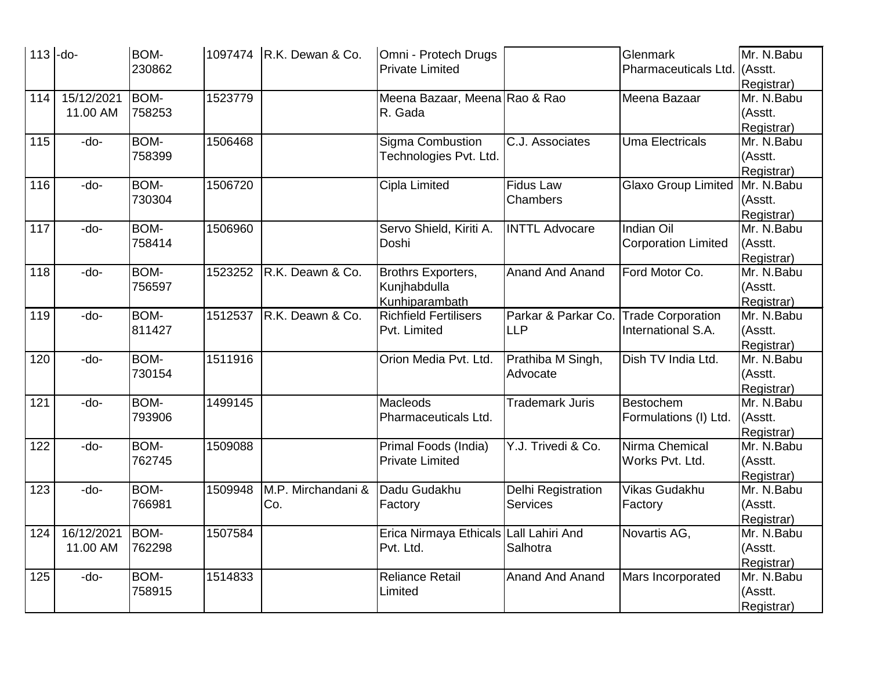|     | $113$ -do- | <b>BOM-</b> |         | 1097474   R.K. Dewan & Co. | Omni - Protech Drugs                   |                           | Glenmark                   | Mr. N.Babu |
|-----|------------|-------------|---------|----------------------------|----------------------------------------|---------------------------|----------------------------|------------|
|     |            | 230862      |         |                            | <b>Private Limited</b>                 |                           | Pharmaceuticals Ltd.       | . (Asstt.  |
|     |            |             |         |                            |                                        |                           |                            | Registrar) |
| 114 | 15/12/2021 | <b>BOM-</b> | 1523779 |                            | Meena Bazaar, Meena Rao & Rao          |                           | Meena Bazaar               | Mr. N.Babu |
|     | 11.00 AM   | 758253      |         |                            | R. Gada                                |                           |                            | (Asstt.    |
|     |            |             |         |                            |                                        |                           |                            | Registrar) |
| 115 | -do-       | BOM-        | 1506468 |                            | Sigma Combustion                       | C.J. Associates           | <b>Uma Electricals</b>     | Mr. N.Babu |
|     |            | 758399      |         |                            | Technologies Pvt. Ltd.                 |                           |                            | (Asstt.    |
|     |            |             |         |                            |                                        |                           |                            | Registrar) |
| 116 | -do-       | BOM-        | 1506720 |                            | Cipla Limited                          | <b>Fidus Law</b>          | Glaxo Group Limited        | Mr. N.Babu |
|     |            | 730304      |         |                            |                                        | Chambers                  |                            | (Asstt.    |
|     |            |             |         |                            |                                        |                           |                            | Registrar) |
| 117 | -do-       | BOM-        | 1506960 |                            | Servo Shield, Kiriti A.                | <b>INTTL Advocare</b>     | <b>Indian Oil</b>          | Mr. N.Babu |
|     |            | 758414      |         |                            | Doshi                                  |                           | <b>Corporation Limited</b> | (Asstt.    |
|     |            |             |         |                            |                                        |                           |                            | Registrar) |
| 118 | -do-       | <b>BOM-</b> | 1523252 | R.K. Deawn & Co.           | Brothrs Exporters,                     | <b>Anand And Anand</b>    | Ford Motor Co.             | Mr. N.Babu |
|     |            | 756597      |         |                            | Kunjhabdulla                           |                           |                            | (Asstt.    |
|     |            |             |         |                            | Kunhiparambath                         |                           |                            | Registrar) |
| 119 | -do-       | BOM-        | 1512537 | R.K. Deawn & Co.           | <b>Richfield Fertilisers</b>           | Parkar & Parkar Co.       | <b>Trade Corporation</b>   | Mr. N.Babu |
|     |            | 811427      |         |                            | Pvt. Limited                           | <b>LLP</b>                | International S.A.         | (Asstt.    |
|     |            |             |         |                            |                                        |                           |                            | Registrar) |
| 120 | -do-       | BOM-        | 1511916 |                            | Orion Media Pvt. Ltd.                  | Prathiba M Singh,         | Dish TV India Ltd.         | Mr. N.Babu |
|     |            | 730154      |         |                            |                                        | Advocate                  |                            | (Asstt.    |
|     |            |             |         |                            |                                        |                           |                            | Registrar) |
| 121 | -do-       | <b>BOM-</b> | 1499145 |                            | Macleods                               | <b>Trademark Juris</b>    | Bestochem                  | Mr. N.Babu |
|     |            | 793906      |         |                            | Pharmaceuticals Ltd.                   |                           | Formulations (I) Ltd.      | (Asstt.    |
|     |            |             |         |                            |                                        |                           |                            | Registrar) |
| 122 | -do-       | BOM-        | 1509088 |                            | Primal Foods (India)                   | Y.J. Trivedi & Co.        | Nirma Chemical             | Mr. N.Babu |
|     |            | 762745      |         |                            | <b>Private Limited</b>                 |                           | Works Pvt. Ltd.            | (Asstt.    |
|     |            |             |         |                            |                                        |                           |                            | Registrar) |
| 123 | -do-       | BOM-        | 1509948 | M.P. Mirchandani &         | Dadu Gudakhu                           | <b>Delhi Registration</b> | <b>Vikas Gudakhu</b>       | Mr. N.Babu |
|     |            | 766981      |         | Co.                        | Factory                                | <b>Services</b>           | Factory                    | (Asstt.    |
|     |            |             |         |                            |                                        |                           |                            | Registrar) |
| 124 | 16/12/2021 | BOM-        | 1507584 |                            | Erica Nirmaya Ethicals Lall Lahiri And |                           | Novartis AG,               | Mr. N.Babu |
|     | 11.00 AM   | 762298      |         |                            | Pvt. Ltd.                              | Salhotra                  |                            | (Asstt.    |
|     |            |             |         |                            |                                        |                           |                            | Registrar) |
| 125 | -do-       | BOM-        | 1514833 |                            | <b>Reliance Retail</b>                 | <b>Anand And Anand</b>    | Mars Incorporated          | Mr. N.Babu |
|     |            | 758915      |         |                            | Limited                                |                           |                            | (Asstt.    |
|     |            |             |         |                            |                                        |                           |                            | Registrar) |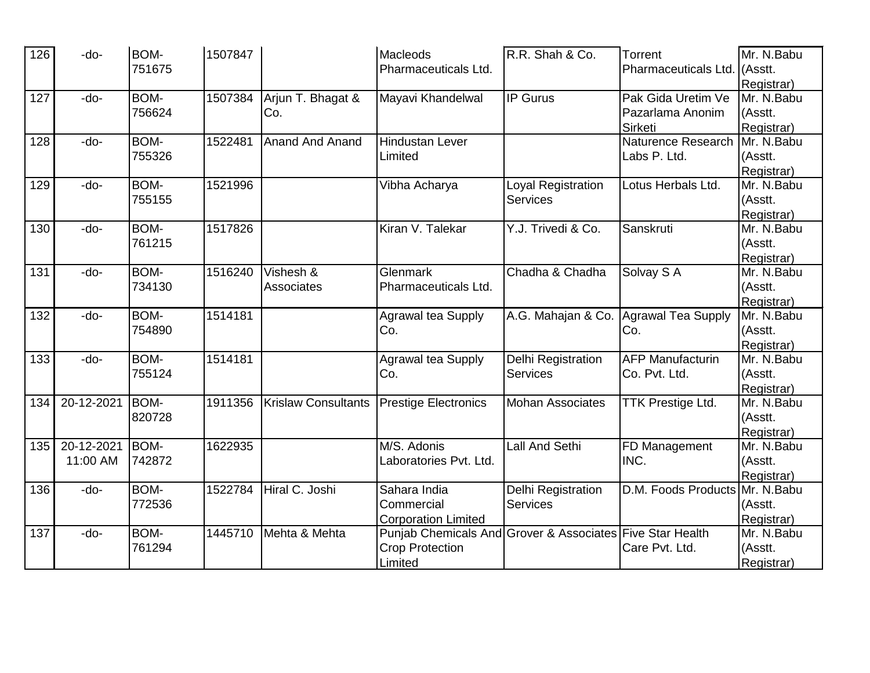| 126 | -do-       | <b>BOM-</b> | 1507847 |                            | <b>Macleods</b>                                           | R.R. Shah & Co.           | Torrent                        | Mr. N.Babu |
|-----|------------|-------------|---------|----------------------------|-----------------------------------------------------------|---------------------------|--------------------------------|------------|
|     |            | 751675      |         |                            | Pharmaceuticals Ltd.                                      |                           | Pharmaceuticals Ltd.           | Asstt.     |
|     |            |             |         |                            |                                                           |                           |                                | Registrar) |
| 127 | -do-       | BOM-        | 1507384 | Arjun T. Bhagat &          | Mayavi Khandelwal                                         | $\overline{IP}$ Gurus     | Pak Gida Uretim Ve             | Mr. N.Babu |
|     |            | 756624      |         | Co.                        |                                                           |                           | Pazarlama Anonim               | (Asstt.    |
|     |            |             |         |                            |                                                           |                           | Sirketi                        | Registrar) |
| 128 | -do-       | BOM-        | 1522481 | <b>Anand And Anand</b>     | <b>Hindustan Lever</b>                                    |                           | <b>Naturence Research</b>      | Mr. N.Babu |
|     |            | 755326      |         |                            | Limited                                                   |                           | Labs P. Ltd.                   | (Asstt.    |
|     |            |             |         |                            |                                                           |                           |                                | Registrar) |
| 129 | -do-       | <b>BOM-</b> | 1521996 |                            | Vibha Acharya                                             | <b>Loyal Registration</b> | Lotus Herbals Ltd.             | Mr. N.Babu |
|     |            | 755155      |         |                            |                                                           | <b>Services</b>           |                                | (Asstt.    |
|     |            |             |         |                            |                                                           |                           |                                | Registrar) |
| 130 | -do-       | <b>BOM-</b> | 1517826 |                            | Kiran V. Talekar                                          | Y.J. Trivedi & Co.        | Sanskruti                      | Mr. N.Babu |
|     |            | 761215      |         |                            |                                                           |                           |                                | (Asstt.    |
|     |            |             |         |                            |                                                           |                           |                                | Registrar) |
| 131 | -do-       | BOM-        | 1516240 | Vishesh &                  | Glenmark                                                  | Chadha & Chadha           | Solvay S A                     | Mr. N.Babu |
|     |            | 734130      |         | Associates                 | Pharmaceuticals Ltd.                                      |                           |                                | (Asstt.    |
|     |            |             |         |                            |                                                           |                           |                                | Registrar) |
| 132 | -do-       | <b>BOM-</b> | 1514181 |                            | Agrawal tea Supply                                        | A.G. Mahajan & Co.        | Agrawal Tea Supply             | Mr. N.Babu |
|     |            | 754890      |         |                            | Co.                                                       |                           | Co.                            | (Asstt.    |
|     |            |             |         |                            |                                                           |                           |                                | Registrar) |
| 133 | -do-       | BOM-        | 1514181 |                            | Agrawal tea Supply                                        | Delhi Registration        | <b>AFP Manufacturin</b>        | Mr. N.Babu |
|     |            | 755124      |         |                            | Co.                                                       | <b>Services</b>           | Co. Pvt. Ltd.                  | (Asstt.    |
|     |            |             |         |                            |                                                           |                           |                                | Registrar) |
| 134 | 20-12-2021 | BOM-        | 1911356 | <b>Krislaw Consultants</b> | <b>Prestige Electronics</b>                               | <b>Mohan Associates</b>   | <b>TTK Prestige Ltd.</b>       | Mr. N.Babu |
|     |            | 820728      |         |                            |                                                           |                           |                                | (Asstt.    |
|     |            |             |         |                            |                                                           |                           |                                | Registrar) |
| 135 | 20-12-2021 | BOM-        | 1622935 |                            | M/S. Adonis                                               | <b>Lall And Sethi</b>     | FD Management                  | Mr. N.Babu |
|     | 11:00 AM   | 742872      |         |                            | Laboratories Pvt. Ltd.                                    |                           | INC.                           | (Asstt.    |
|     |            |             |         |                            |                                                           |                           |                                | Registrar) |
| 136 | -do-       | <b>BOM-</b> | 1522784 | Hiral C. Joshi             | Sahara India                                              | Delhi Registration        | D.M. Foods Products Mr. N.Babu |            |
|     |            | 772536      |         |                            | Commercial                                                | <b>Services</b>           |                                | (Asstt.    |
|     |            |             |         |                            | <b>Corporation Limited</b>                                |                           |                                | Registrar) |
| 137 | -do-       | BOM-        | 1445710 | Mehta & Mehta              | Punjab Chemicals And Grover & Associates Five Star Health |                           |                                | Mr. N.Babu |
|     |            | 761294      |         |                            | <b>Crop Protection</b>                                    |                           | Care Pvt. Ltd.                 | (Asstt.    |
|     |            |             |         |                            | Limited                                                   |                           |                                | Registrar) |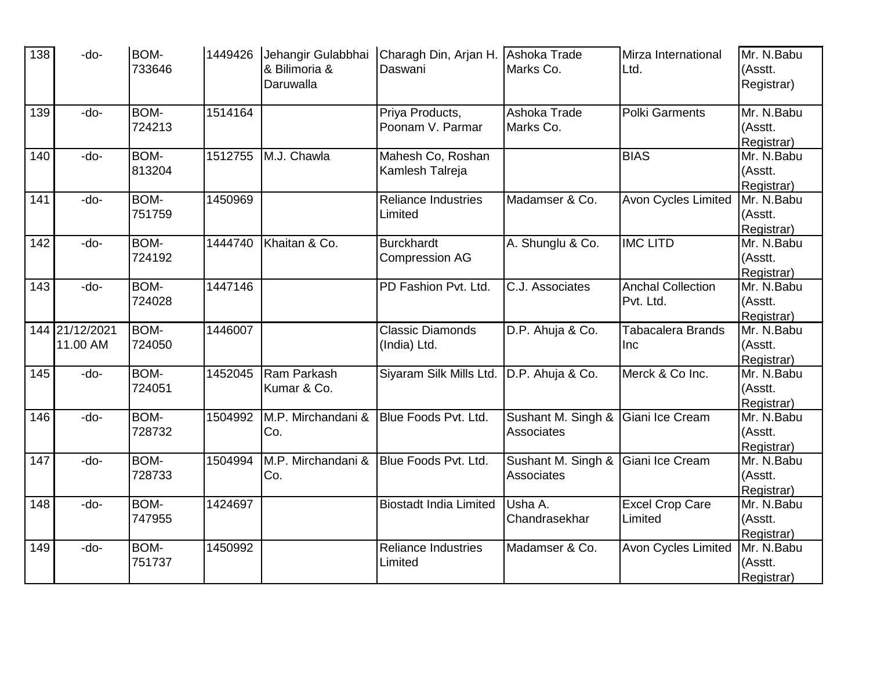| 138 | -do-                       | <b>BOM-</b><br>733646 | 1449426 | Jehangir Gulabbhai<br>& Bilimoria &<br>Daruwalla | Charagh Din, Arjan H.<br>Daswani           | Ashoka Trade<br>Marks Co.        | Mirza International<br>Ltd.           | Mr. N.Babu<br>(Asstt.<br>Registrar) |
|-----|----------------------------|-----------------------|---------|--------------------------------------------------|--------------------------------------------|----------------------------------|---------------------------------------|-------------------------------------|
| 139 | -do-                       | <b>BOM-</b><br>724213 | 1514164 |                                                  | Priya Products,<br>Poonam V. Parmar        | Ashoka Trade<br>Marks Co.        | Polki Garments                        | Mr. N.Babu<br>(Asstt.<br>Registrar) |
| 140 | -do-                       | <b>BOM-</b><br>813204 | 1512755 | M.J. Chawla                                      | Mahesh Co, Roshan<br>Kamlesh Talreja       |                                  | <b>BIAS</b>                           | Mr. N.Babu<br>(Asstt.<br>Registrar) |
| 141 | -do-                       | BOM-<br>751759        | 1450969 |                                                  | <b>Reliance Industries</b><br>Limited      | Madamser & Co.                   | Avon Cycles Limited                   | Mr. N.Babu<br>(Asstt.<br>Registrar) |
| 142 | -do-                       | <b>BOM-</b><br>724192 | 1444740 | Khaitan & Co.                                    | <b>Burckhardt</b><br><b>Compression AG</b> | A. Shunglu & Co.                 | <b>IMC LITD</b>                       | Mr. N.Babu<br>(Asstt.<br>Registrar) |
| 143 | -do-                       | BOM-<br>724028        | 1447146 |                                                  | PD Fashion Pvt. Ltd.                       | C.J. Associates                  | <b>Anchal Collection</b><br>Pvt. Ltd. | Mr. N.Babu<br>(Asstt.<br>Registrar) |
|     | 144 21/12/2021<br>11.00 AM | BOM-<br>724050        | 1446007 |                                                  | <b>Classic Diamonds</b><br>(India) Ltd.    | D.P. Ahuja & Co.                 | Tabacalera Brands<br><b>Inc</b>       | Mr. N.Babu<br>(Asstt.<br>Registrar) |
| 145 | -do-                       | <b>BOM-</b><br>724051 | 1452045 | Ram Parkash<br>Kumar & Co.                       | Siyaram Silk Mills Ltd.                    | D.P. Ahuja & Co.                 | Merck & Co Inc.                       | Mr. N.Babu<br>(Asstt.<br>Registrar) |
| 146 | -do-                       | <b>BOM-</b><br>728732 | 1504992 | M.P. Mirchandani &<br>Co.                        | Blue Foods Pvt. Ltd.                       | Sushant M. Singh &<br>Associates | Giani Ice Cream                       | Mr. N.Babu<br>(Asstt.<br>Registrar) |
| 147 | -do-                       | <b>BOM-</b><br>728733 | 1504994 | M.P. Mirchandani &<br>Co.                        | Blue Foods Pvt. Ltd.                       | Sushant M. Singh &<br>Associates | Giani Ice Cream                       | Mr. N.Babu<br>(Asstt.<br>Registrar) |
| 148 | -do-                       | BOM-<br>747955        | 1424697 |                                                  | <b>Biostadt India Limited</b>              | Usha A.<br>Chandrasekhar         | <b>Excel Crop Care</b><br>Limited     | Mr. N.Babu<br>(Asstt.<br>Registrar) |
| 149 | -do-                       | BOM-<br>751737        | 1450992 |                                                  | <b>Reliance Industries</b><br>Limited      | Madamser & Co.                   | <b>Avon Cycles Limited</b>            | Mr. N.Babu<br>(Asstt.<br>Registrar) |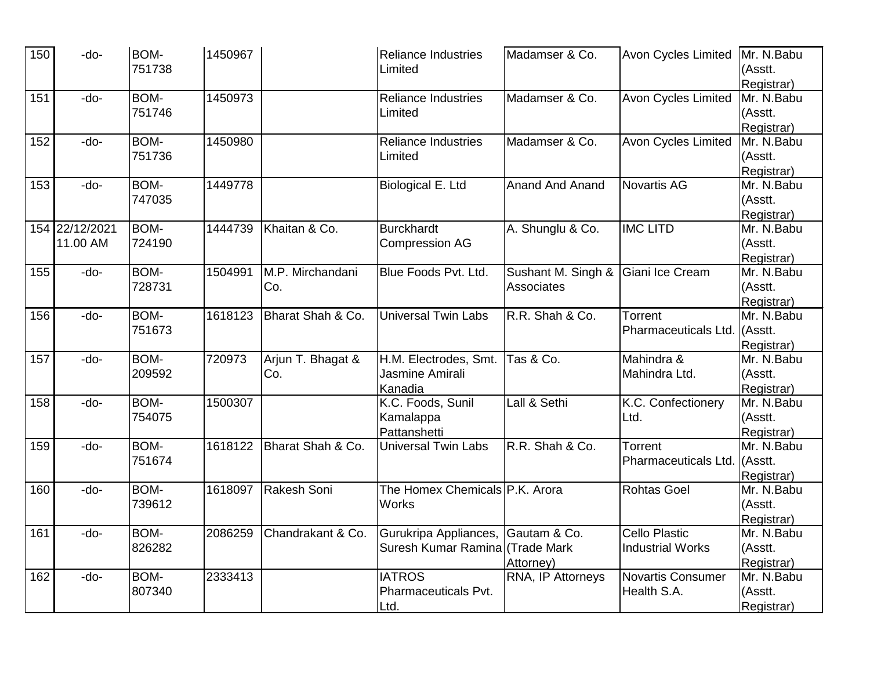| 150 | -do-           | <b>BOM-</b> | 1450967 |                   | <b>Reliance Industries</b>      | Madamser & Co.         | Avon Cycles Limited          | Mr. N.Babu  |
|-----|----------------|-------------|---------|-------------------|---------------------------------|------------------------|------------------------------|-------------|
|     |                | 751738      |         |                   | Limited                         |                        |                              | (Asstt.     |
|     |                |             |         |                   |                                 |                        |                              | Registrar)  |
| 151 | -do-           | BOM-        | 1450973 |                   | <b>Reliance Industries</b>      | Madamser & Co.         | <b>Avon Cycles Limited</b>   | Mr. N.Babu  |
|     |                | 751746      |         |                   | Limited                         |                        |                              | (Asstt.     |
|     |                |             |         |                   |                                 |                        |                              | Registrar)  |
| 152 | -do-           | <b>BOM-</b> | 1450980 |                   | <b>Reliance Industries</b>      | Madamser & Co.         | <b>Avon Cycles Limited</b>   | Mr. N.Babu  |
|     |                | 751736      |         |                   | Limited                         |                        |                              | (Asstt.     |
|     |                |             |         |                   |                                 |                        |                              | Registrar)  |
| 153 | -do-           | BOM-        | 1449778 |                   | Biological E. Ltd               | <b>Anand And Anand</b> | <b>Novartis AG</b>           | Mr. N.Babu  |
|     |                | 747035      |         |                   |                                 |                        |                              | (Asstt.     |
|     |                |             |         |                   |                                 |                        |                              | Registrar)  |
|     | 154 22/12/2021 | <b>BOM-</b> | 1444739 | Khaitan & Co.     | <b>Burckhardt</b>               | A. Shunglu & Co.       | <b>IMC LITD</b>              | Mr. N.Babu  |
|     | 11.00 AM       | 724190      |         |                   | <b>Compression AG</b>           |                        |                              | (Asstt.     |
|     |                |             |         |                   |                                 |                        |                              | Registrar)  |
| 155 | -do-           | BOM-        | 1504991 | M.P. Mirchandani  | Blue Foods Pvt. Ltd.            | Sushant M. Singh &     | Giani Ice Cream              | Mr. N.Babu  |
|     |                | 728731      |         | Co.               |                                 | Associates             |                              | (Asstt.     |
|     |                |             |         |                   |                                 |                        |                              | Registrar)  |
| 156 | -do-           | BOM-        | 1618123 | Bharat Shah & Co. | <b>Universal Twin Labs</b>      | R.R. Shah & Co.        | Torrent                      | Mr. N.Babu  |
|     |                | 751673      |         |                   |                                 |                        | Pharmaceuticals Ltd. (Asstt. |             |
|     |                |             |         |                   |                                 |                        |                              | Registrar)  |
| 157 | -do-           | BOM-        | 720973  | Arjun T. Bhagat & | H.M. Electrodes, Smt.           | Tas & Co.              | Mahindra &                   | Mr. N.Babu  |
|     |                | 209592      |         | Co.               | Jasmine Amirali                 |                        | Mahindra Ltd.                | (Asstt.     |
|     |                |             |         |                   | Kanadia                         |                        |                              | Registrar)  |
| 158 | -do-           | BOM-        | 1500307 |                   | K.C. Foods, Sunil               | Lall & Sethi           | K.C. Confectionery           | Mr. N.Babu  |
|     |                | 754075      |         |                   | Kamalappa                       |                        | Ltd.                         | (Asstt.     |
|     |                |             |         |                   | Pattanshetti                    |                        |                              | Registrar)  |
| 159 | -do-           | BOM-        | 1618122 | Bharat Shah & Co. | <b>Universal Twin Labs</b>      | R.R. Shah & Co.        | Torrent                      | Mr. N.Babu  |
|     |                | 751674      |         |                   |                                 |                        | <b>Pharmaceuticals Ltd.</b>  | $ $ (Asstt. |
|     |                |             |         |                   |                                 |                        |                              | Registrar)  |
| 160 | -do-           | BOM-        | 1618097 | Rakesh Soni       | The Homex Chemicals P.K. Arora  |                        | <b>Rohtas Goel</b>           | Mr. N.Babu  |
|     |                | 739612      |         |                   | Works                           |                        |                              | (Asstt.     |
|     |                |             |         |                   |                                 |                        |                              | Registrar)  |
| 161 | -do-           | BOM-        | 2086259 | Chandrakant & Co. | Gurukripa Appliances,           | Gautam & Co.           | <b>Cello Plastic</b>         | Mr. N.Babu  |
|     |                | 826282      |         |                   | Suresh Kumar Ramina (Trade Mark |                        | <b>Industrial Works</b>      | (Asstt.     |
|     |                |             |         |                   |                                 | Attorney)              |                              | Registrar)  |
| 162 | -do-           | BOM-        | 2333413 |                   | <b>IATROS</b>                   | RNA, IP Attorneys      | <b>Novartis Consumer</b>     | Mr. N.Babu  |
|     |                | 807340      |         |                   | Pharmaceuticals Pvt.            |                        | Health S.A.                  | (Asstt.     |
|     |                |             |         |                   | <u>Ltd.</u>                     |                        |                              | Registrar)  |